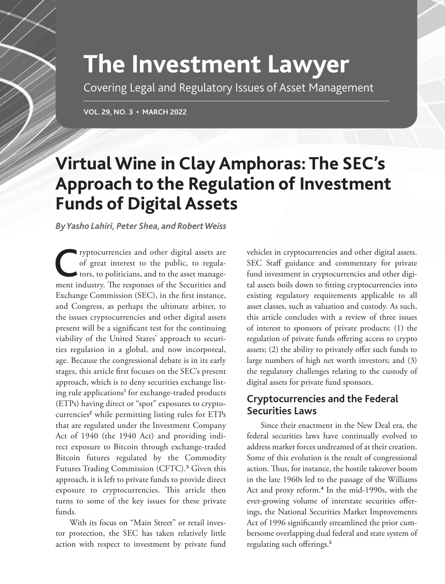# **The Investment Lawyer**

Covering Legal and Regulatory Issues of Asset Management

**VOL. 29, NO. 3 • MARCH 2022**

## **Virtual Wine in Clay Amphoras: The SEC's Approach to the Regulation of Investment Funds of Digital Assets**

*By Yasho Lahiri, Peter Shea, and Robert Weiss*

ryptocurrencies and other digital assets are<br>of great interest to the public, to regula-<br>tors, to politicians, and to the asset manage-<br>pont industry. The reponence of the Sequrities and of great interest to the public, to regulators, to politicians, and to the asset management industry. The responses of the Securities and Exchange Commission (SEC), in the first instance, and Congress, as perhaps the ultimate arbiter, to the issues cryptocurrencies and other digital assets present will be a significant test for the continuing viability of the United States' approach to securities regulation in a global, and now incorporeal, age. Because the congressional debate is in its early stages, this article first focuses on the SEC's present approach, which is to deny securities exchange listing rule applications<sup>1</sup> for exchange-traded products (ETPs) having direct or "spot" exposures to cryptocurrencies<sup>2</sup> while permitting listing rules for ETPs that are regulated under the Investment Company Act of 1940 (the 1940 Act) and providing indirect exposure to Bitcoin through exchange-traded Bitcoin futures regulated by the Commodity Futures Trading Commission (CFTC).<sup>3</sup> Given this approach, it is left to private funds to provide direct exposure to cryptocurrencies. This article then turns to some of the key issues for these private funds.

With its focus on "Main Street" or retail investor protection, the SEC has taken relatively little action with respect to investment by private fund vehicles in cryptocurrencies and other digital assets. SEC Staff guidance and commentary for private fund investment in cryptocurrencies and other digital assets boils down to fitting cryptocurrencies into existing regulatory requirements applicable to all asset classes, such as valuation and custody. As such, this article concludes with a review of three issues of interest to sponsors of private products: (1) the regulation of private funds offering access to crypto assets; (2) the ability to privately offer such funds to large numbers of high net worth investors; and (3) the regulatory challenges relating to the custody of digital assets for private fund sponsors.

## **Cryptocurrencies and the Federal Securities Laws**

Since their enactment in the New Deal era, the federal securities laws have continually evolved to address market forces undreamed of at their creation. Some of this evolution is the result of congressional action. Thus, for instance, the hostile takeover boom in the late 1960s led to the passage of the Williams Act and proxy reform.<sup>4</sup> In the mid-1990s, with the ever-growing volume of interstate securities offerings, the National Securities Market Improvements Act of 1996 significantly streamlined the prior cumbersome overlapping dual federal and state system of regulating such offerings.5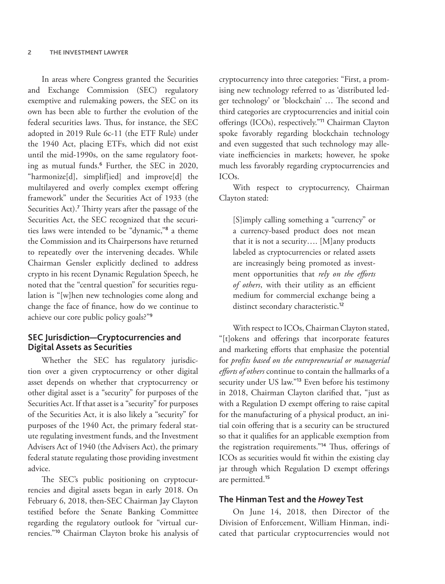In areas where Congress granted the Securities and Exchange Commission (SEC) regulatory exemptive and rulemaking powers, the SEC on its own has been able to further the evolution of the federal securities laws. Thus, for instance, the SEC adopted in 2019 Rule 6c-11 (the ETF Rule) under the 1940 Act, placing ETFs, which did not exist until the mid-1990s, on the same regulatory footing as mutual funds.<sup>6</sup> Further, the SEC in 2020, "harmonize[d], simplif[ied] and improve[d] the multilayered and overly complex exempt offering framework" under the Securities Act of 1933 (the Securities Act).<sup>7</sup> Thirty years after the passage of the Securities Act, the SEC recognized that the securities laws were intended to be "dynamic,"<sup>8</sup> a theme the Commission and its Chairpersons have returned to repeatedly over the intervening decades. While Chairman Gensler explicitly declined to address crypto in his recent Dynamic Regulation Speech, he noted that the "central question" for securities regulation is "[w]hen new technologies come along and change the face of finance, how do we continue to achieve our core public policy goals?"<sup>9</sup>

#### **SEC Jurisdiction—Cryptocurrencies and Digital Assets as Securities**

Whether the SEC has regulatory jurisdiction over a given cryptocurrency or other digital asset depends on whether that cryptocurrency or other digital asset is a "security" for purposes of the Securities Act. If that asset is a "security" for purposes of the Securities Act, it is also likely a "security" for purposes of the 1940 Act, the primary federal statute regulating investment funds, and the Investment Advisers Act of 1940 (the Advisers Act), the primary federal statute regulating those providing investment advice.

The SEC's public positioning on cryptocurrencies and digital assets began in early 2018. On February 6, 2018, then-SEC Chairman Jay Clayton testified before the Senate Banking Committee regarding the regulatory outlook for "virtual currencies."<sup>10</sup> Chairman Clayton broke his analysis of cryptocurrency into three categories: "First, a promising new technology referred to as 'distributed ledger technology' or 'blockchain' … The second and third categories are cryptocurrencies and initial coin offerings (ICOs), respectively."<sup>11</sup> Chairman Clayton spoke favorably regarding blockchain technology and even suggested that such technology may alleviate inefficiencies in markets; however, he spoke much less favorably regarding cryptocurrencies and ICOs.

With respect to cryptocurrency, Chairman Clayton stated:

[S]imply calling something a "currency" or a currency-based product does not mean that it is not a security…. [M]any products labeled as cryptocurrencies or related assets are increasingly being promoted as investment opportunities that *rely on the efforts of others*, with their utility as an efficient medium for commercial exchange being a distinct secondary characteristic.<sup>12</sup>

With respect to ICOs, Chairman Clayton stated, "[t]okens and offerings that incorporate features and marketing efforts that emphasize the potential for *profits based on the entrepreneurial or managerial efforts of others* continue to contain the hallmarks of a security under US law."<sup>13</sup> Even before his testimony in 2018, Chairman Clayton clarified that, "just as with a Regulation D exempt offering to raise capital for the manufacturing of a physical product, an initial coin offering that is a security can be structured so that it qualifies for an applicable exemption from the registration requirements."<sup>14</sup> Thus, offerings of ICOs as securities would fit within the existing clay jar through which Regulation D exempt offerings are permitted.<sup>15</sup>

#### **The Hinman Test and the** *Howey* **Test**

On June 14, 2018, then Director of the Division of Enforcement, William Hinman, indicated that particular cryptocurrencies would not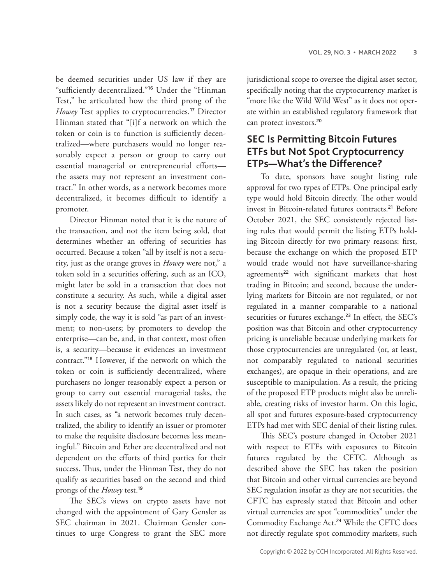be deemed securities under US law if they are "sufficiently decentralized."<sup>16</sup> Under the "Hinman Test," he articulated how the third prong of the *Howey* Test applies to cryptocurrencies.<sup>17</sup> Director Hinman stated that "[i]f a network on which the token or coin is to function is sufficiently decentralized—where purchasers would no longer reasonably expect a person or group to carry out essential managerial or entrepreneurial efforts the assets may not represent an investment contract." In other words, as a network becomes more decentralized, it becomes difficult to identify a promoter.

Director Hinman noted that it is the nature of the transaction, and not the item being sold, that determines whether an offering of securities has occurred. Because a token "all by itself is not a security, just as the orange groves in *Howey* were not," a token sold in a securities offering, such as an ICO, might later be sold in a transaction that does not constitute a security. As such, while a digital asset is not a security because the digital asset itself is simply code, the way it is sold "as part of an investment; to non-users; by promoters to develop the enterprise—can be, and, in that context, most often is, a security—because it evidences an investment contract."<sup>18</sup> However, if the network on which the token or coin is sufficiently decentralized, where purchasers no longer reasonably expect a person or group to carry out essential managerial tasks, the assets likely do not represent an investment contract. In such cases, as "a network becomes truly decentralized, the ability to identify an issuer or promoter to make the requisite disclosure becomes less meaningful." Bitcoin and Ether are decentralized and not dependent on the efforts of third parties for their success. Thus, under the Hinman Test, they do not qualify as securities based on the second and third prongs of the *Howey* test.<sup>19</sup>

The SEC's views on crypto assets have not changed with the appointment of Gary Gensler as SEC chairman in 2021. Chairman Gensler continues to urge Congress to grant the SEC more

jurisdictional scope to oversee the digital asset sector, specifically noting that the cryptocurrency market is "more like the Wild Wild West" as it does not operate within an established regulatory framework that can protect investors.<sup>20</sup>

## **SEC Is Permitting Bitcoin Futures ETFs but Not Spot Cryptocurrency ETPs—What's the Difference?**

To date, sponsors have sought listing rule approval for two types of ETPs. One principal early type would hold Bitcoin directly. The other would invest in Bitcoin-related futures contracts.<sup>21</sup> Before October 2021, the SEC consistently rejected listing rules that would permit the listing ETPs holding Bitcoin directly for two primary reasons: first, because the exchange on which the proposed ETP would trade would not have surveillance-sharing agreements<sup>22</sup> with significant markets that host trading in Bitcoin; and second, because the underlying markets for Bitcoin are not regulated, or not regulated in a manner comparable to a national securities or futures exchange.<sup>23</sup> In effect, the SEC's position was that Bitcoin and other cryptocurrency pricing is unreliable because underlying markets for those cryptocurrencies are unregulated (or, at least, not comparably regulated to national securities exchanges), are opaque in their operations, and are susceptible to manipulation. As a result, the pricing of the proposed ETP products might also be unreliable, creating risks of investor harm. On this logic, all spot and futures exposure-based cryptocurrency ETPs had met with SEC denial of their listing rules.

This SEC's posture changed in October 2021 with respect to ETFs with exposures to Bitcoin futures regulated by the CFTC. Although as described above the SEC has taken the position that Bitcoin and other virtual currencies are beyond SEC regulation insofar as they are not securities, the CFTC has expressly stated that Bitcoin and other virtual currencies are spot "commodities" under the Commodity Exchange Act.<sup>24</sup> While the CFTC does not directly regulate spot commodity markets, such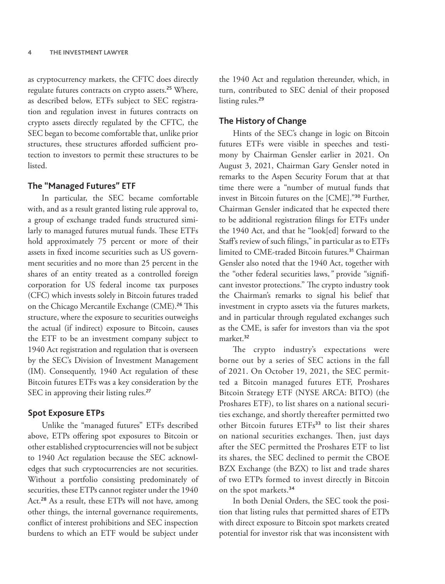as cryptocurrency markets, the CFTC does directly regulate futures contracts on crypto assets.<sup>25</sup> Where, as described below, ETFs subject to SEC registration and regulation invest in futures contracts on crypto assets directly regulated by the CFTC, the SEC began to become comfortable that, unlike prior structures, these structures afforded sufficient protection to investors to permit these structures to be listed.

#### **The "Managed Futures" ETF**

In particular, the SEC became comfortable with, and as a result granted listing rule approval to, a group of exchange traded funds structured similarly to managed futures mutual funds. These ETFs hold approximately 75 percent or more of their assets in fixed income securities such as US government securities and no more than 25 percent in the shares of an entity treated as a controlled foreign corporation for US federal income tax purposes (CFC) which invests solely in Bitcoin futures traded on the Chicago Mercantile Exchange (CME).<sup>26</sup> This structure, where the exposure to securities outweighs the actual (if indirect) exposure to Bitcoin, causes the ETF to be an investment company subject to 1940 Act registration and regulation that is overseen by the SEC's Division of Investment Management (IM). Consequently, 1940 Act regulation of these Bitcoin futures ETFs was a key consideration by the SEC in approving their listing rules.<sup>27</sup>

#### **Spot Exposure ETPs**

Unlike the "managed futures" ETFs described above, ETPs offering spot exposures to Bitcoin or other established cryptocurrencies will not be subject to 1940 Act regulation because the SEC acknowledges that such cryptocurrencies are not securities. Without a portfolio consisting predominately of securities, these ETPs cannot register under the 1940 Act.<sup>28</sup> As a result, these ETPs will not have, among other things, the internal governance requirements, conflict of interest prohibitions and SEC inspection burdens to which an ETF would be subject under

the 1940 Act and regulation thereunder, which, in turn, contributed to SEC denial of their proposed listing rules.<sup>29</sup>

#### **The History of Change**

Hints of the SEC's change in logic on Bitcoin futures ETFs were visible in speeches and testimony by Chairman Gensler earlier in 2021. On August 3, 2021, Chairman Gary Gensler noted in remarks to the Aspen Security Forum that at that time there were a "number of mutual funds that invest in Bitcoin futures on the [CME]."<sup>30</sup> Further, Chairman Gensler indicated that he expected there to be additional registration filings for ETFs under the 1940 Act, and that he "look[ed] forward to the Staff's review of such filings," in particular as to ETFs limited to CME-traded Bitcoin futures.<sup>31</sup> Chairman Gensler also noted that the 1940 Act, together with the "other federal securities laws,*"* provide "significant investor protections." The crypto industry took the Chairman's remarks to signal his belief that investment in crypto assets via the futures markets, and in particular through regulated exchanges such as the CME, is safer for investors than via the spot market.<sup>32</sup>

The crypto industry's expectations were borne out by a series of SEC actions in the fall of 2021. On October 19, 2021, the SEC permitted a Bitcoin managed futures ETF, Proshares Bitcoin Strategy ETF (NYSE ARCA: BITO) (the Proshares ETF), to list shares on a national securities exchange, and shortly thereafter permitted two other Bitcoin futures ETFs<sup>33</sup> to list their shares on national securities exchanges. Then, just days after the SEC permitted the Proshares ETF to list its shares, the SEC declined to permit the CBOE BZX Exchange (the BZX) to list and trade shares of two ETPs formed to invest directly in Bitcoin on the spot markets.<sup>34</sup>

In both Denial Orders, the SEC took the position that listing rules that permitted shares of ETPs with direct exposure to Bitcoin spot markets created potential for investor risk that was inconsistent with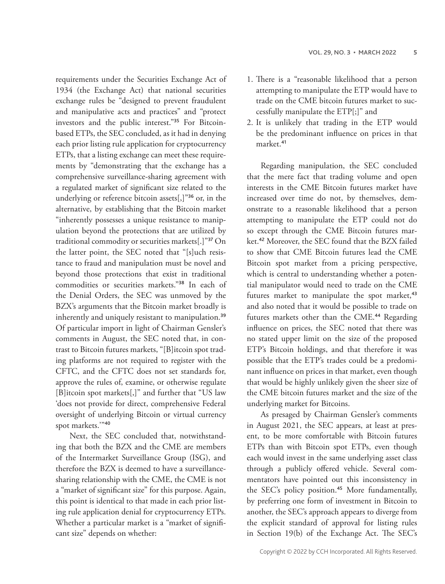requirements under the Securities Exchange Act of 1934 (the Exchange Act) that national securities exchange rules be "designed to prevent fraudulent and manipulative acts and practices" and "protect investors and the public interest."35 For Bitcoinbased ETPs, the SEC concluded, as it had in denying each prior listing rule application for cryptocurrency ETPs, that a listing exchange can meet these requirements by "demonstrating that the exchange has a comprehensive surveillance-sharing agreement with a regulated market of significant size related to the underlying or reference bitcoin assets[,]"<sup>36</sup> or, in the alternative, by establishing that the Bitcoin market "inherently possesses a unique resistance to manipulation beyond the protections that are utilized by traditional commodity or securities markets[.]"<sup>37</sup> On the latter point, the SEC noted that "[s]uch resistance to fraud and manipulation must be novel and beyond those protections that exist in traditional commodities or securities markets."<sup>38</sup> In each of the Denial Orders, the SEC was unmoved by the BZX's arguments that the Bitcoin market broadly is inherently and uniquely resistant to manipulation.<sup>39</sup> Of particular import in light of Chairman Gensler's comments in August, the SEC noted that, in contrast to Bitcoin futures markets, "[B]itcoin spot trading platforms are not required to register with the CFTC, and the CFTC does not set standards for, approve the rules of, examine, or otherwise regulate [B]itcoin spot markets[,]" and further that "US law 'does not provide for direct, comprehensive Federal oversight of underlying Bitcoin or virtual currency spot markets.'"<sup>40</sup>

Next, the SEC concluded that, notwithstanding that both the BZX and the CME are members of the Intermarket Surveillance Group (ISG), and therefore the BZX is deemed to have a surveillancesharing relationship with the CME, the CME is not a "market of significant size" for this purpose. Again, this point is identical to that made in each prior listing rule application denial for cryptocurrency ETPs. Whether a particular market is a "market of significant size" depends on whether:

- 1. There is a "reasonable likelihood that a person attempting to manipulate the ETP would have to trade on the CME bitcoin futures market to successfully manipulate the ETP[;]" and
- 2. It is unlikely that trading in the ETP would be the predominant influence on prices in that market.<sup>41</sup>

Regarding manipulation, the SEC concluded that the mere fact that trading volume and open interests in the CME Bitcoin futures market have increased over time do not, by themselves, demonstrate to a reasonable likelihood that a person attempting to manipulate the ETP could not do so except through the CME Bitcoin futures market.<sup>42</sup> Moreover, the SEC found that the BZX failed to show that CME Bitcoin futures lead the CME Bitcoin spot market from a pricing perspective, which is central to understanding whether a potential manipulator would need to trade on the CME futures market to manipulate the spot market,<sup>43</sup> and also noted that it would be possible to trade on futures markets other than the CME.<sup>44</sup> Regarding influence on prices, the SEC noted that there was no stated upper limit on the size of the proposed ETP's Bitcoin holdings, and that therefore it was possible that the ETP's trades could be a predominant influence on prices in that market, even though that would be highly unlikely given the sheer size of the CME bitcoin futures market and the size of the underlying market for Bitcoins.

As presaged by Chairman Gensler's comments in August 2021, the SEC appears, at least at present, to be more comfortable with Bitcoin futures ETPs than with Bitcoin spot ETPs, even though each would invest in the same underlying asset class through a publicly offered vehicle. Several commentators have pointed out this inconsistency in the SEC's policy position.<sup>45</sup> More fundamentally, by preferring one form of investment in Bitcoin to another, the SEC's approach appears to diverge from the explicit standard of approval for listing rules in Section 19(b) of the Exchange Act. The SEC's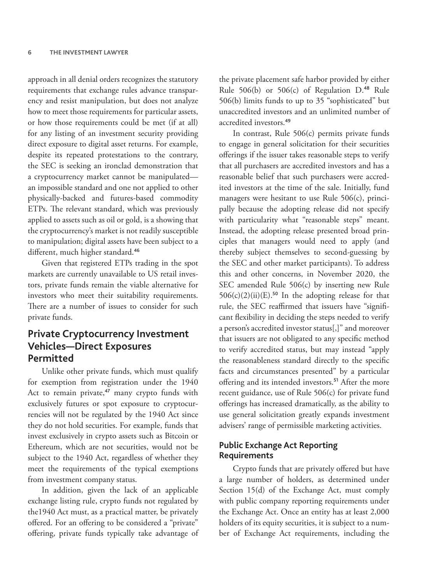approach in all denial orders recognizes the statutory requirements that exchange rules advance transparency and resist manipulation, but does not analyze how to meet those requirements for particular assets, or how those requirements could be met (if at all) for any listing of an investment security providing direct exposure to digital asset returns. For example, despite its repeated protestations to the contrary, the SEC is seeking an ironclad demonstration that a cryptocurrency market cannot be manipulated an impossible standard and one not applied to other physically-backed and futures-based commodity ETPs. The relevant standard, which was previously applied to assets such as oil or gold, is a showing that the cryptocurrency's market is not readily susceptible to manipulation; digital assets have been subject to a different, much higher standard.<sup>46</sup>

Given that registered ETPs trading in the spot markets are currently unavailable to US retail investors, private funds remain the viable alternative for investors who meet their suitability requirements. There are a number of issues to consider for such private funds.

## **Private Cryptocurrency Investment Vehicles—Direct Exposures Permitted**

Unlike other private funds, which must qualify for exemption from registration under the 1940 Act to remain private,<sup>47</sup> many crypto funds with exclusively futures or spot exposure to cryptocurrencies will not be regulated by the 1940 Act since they do not hold securities. For example, funds that invest exclusively in crypto assets such as Bitcoin or Ethereum, which are not securities, would not be subject to the 1940 Act, regardless of whether they meet the requirements of the typical exemptions from investment company status.

In addition, given the lack of an applicable exchange listing rule, crypto funds not regulated by the1940 Act must, as a practical matter, be privately offered. For an offering to be considered a "private" offering, private funds typically take advantage of

the private placement safe harbor provided by either Rule  $506(b)$  or  $506(c)$  of Regulation D.<sup>48</sup> Rule 506(b) limits funds to up to 35 "sophisticated" but unaccredited investors and an unlimited number of accredited investors.<sup>49</sup>

In contrast, Rule 506(c) permits private funds to engage in general solicitation for their securities offerings if the issuer takes reasonable steps to verify that all purchasers are accredited investors and has a reasonable belief that such purchasers were accredited investors at the time of the sale. Initially, fund managers were hesitant to use Rule 506(c), principally because the adopting release did not specify with particularity what "reasonable steps" meant. Instead, the adopting release presented broad principles that managers would need to apply (and thereby subject themselves to second-guessing by the SEC and other market participants). To address this and other concerns, in November 2020, the SEC amended Rule 506(c) by inserting new Rule  $506(c)(2)(ii)(E).$ <sup>50</sup> In the adopting release for that rule, the SEC reaffirmed that issuers have "significant flexibility in deciding the steps needed to verify a person's accredited investor status[,]" and moreover that issuers are not obligated to any specific method to verify accredited status, but may instead "apply the reasonableness standard directly to the specific facts and circumstances presented" by a particular offering and its intended investors.<sup>51</sup> After the more recent guidance, use of Rule 506(c) for private fund offerings has increased dramatically, as the ability to use general solicitation greatly expands investment advisers' range of permissible marketing activities.

#### **Public Exchange Act Reporting Requirements**

Crypto funds that are privately offered but have a large number of holders, as determined under Section 15(d) of the Exchange Act, must comply with public company reporting requirements under the Exchange Act. Once an entity has at least 2,000 holders of its equity securities, it is subject to a number of Exchange Act requirements, including the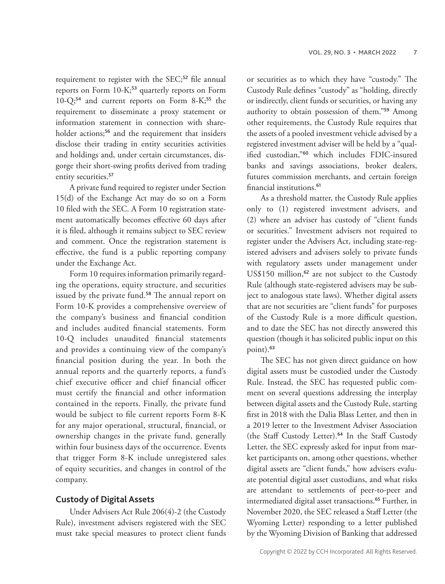requirement to register with the SEC;<sup>52</sup> file annual reports on Form 10-K;<sup>53</sup> quarterly reports on Form 10-Q;<sup>54</sup> and current reports on Form 8-K;<sup>55</sup> the requirement to disseminate a proxy statement or information statement in connection with shareholder actions;<sup>56</sup> and the requirement that insiders disclose their trading in entity securities activities and holdings and, under certain circumstances, disgorge their short-swing profits derived from trading entity securities.<sup>57</sup>

A private fund required to register under Section 15(d) of the Exchange Act may do so on a Form 10 filed with the SEC. A Form 10 registration statement automatically becomes effective 60 days after it is filed, although it remains subject to SEC review and comment. Once the registration statement is effective, the fund is a public reporting company under the Exchange Act.

Form 10 requires information primarily regarding the operations, equity structure, and securities issued by the private fund.<sup>58</sup> The annual report on Form 10-K provides a comprehensive overview of the company's business and financial condition and includes audited financial statements. Form 10-Q includes unaudited financial statements and provides a continuing view of the company's financial position during the year. In both the annual reports and the quarterly reports, a fund's chief executive officer and chief financial officer must certify the financial and other information contained in the reports. Finally, the private fund would be subject to file current reports Form 8-K for any major operational, structural, financial, or ownership changes in the private fund, generally within four business days of the occurrence. Events that trigger Form 8-K include unregistered sales of equity securities, and changes in control of the company.

#### **Custody of Digital Assets**

Under Advisers Act Rule 206(4)-2 (the Custody Rule), investment advisers registered with the SEC must take special measures to protect client funds

or securities as to which they have "custody." The Custody Rule defines "custody" as "holding, directly or indirectly, client funds or securities, or having any authority to obtain possession of them."<sup>59</sup> Among other requirements, the Custody Rule requires that the assets of a pooled investment vehicle advised by a registered investment adviser will be held by a "qualified custodian,"<sup>60</sup> which includes FDIC-insured banks and savings associations, broker dealers, futures commission merchants, and certain foreign financial institutions.<sup>61</sup>

As a threshold matter, the Custody Rule applies only to (1) registered investment advisers, and (2) where an adviser has custody of "client funds or securities." Investment advisers not required to register under the Advisers Act, including state-registered advisers and advisers solely to private funds with regulatory assets under management under US\$150 million,<sup>62</sup> are not subject to the Custody Rule (although state-registered advisers may be subject to analogous state laws). Whether digital assets that are not securities are "client funds" for purposes of the Custody Rule is a more difficult question, and to date the SEC has not directly answered this question (though it has solicited public input on this point).<sup>63</sup>

The SEC has not given direct guidance on how digital assets must be custodied under the Custody Rule. Instead, the SEC has requested public comment on several questions addressing the interplay between digital assets and the Custody Rule, starting first in 2018 with the Dalia Blass Letter, and then in a 2019 letter to the Investment Adviser Association (the Staff Custody Letter).<sup>64</sup> In the Staff Custody Letter, the SEC expressly asked for input from market participants on, among other questions, whether digital assets are "client funds," how advisers evaluate potential digital asset custodians, and what risks are attendant to settlements of peer-to-peer and intermediated digital asset transactions.<sup>65</sup> Further, in November 2020, the SEC released a Staff Letter (the Wyoming Letter) responding to a letter published by the Wyoming Division of Banking that addressed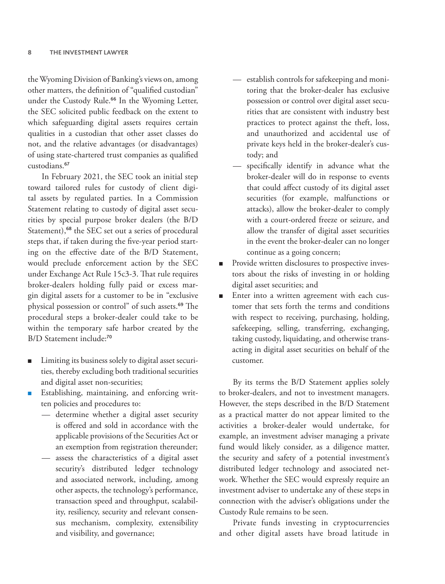the Wyoming Division of Banking's views on, among other matters, the definition of "qualified custodian" under the Custody Rule.<sup>66</sup> In the Wyoming Letter, the SEC solicited public feedback on the extent to which safeguarding digital assets requires certain qualities in a custodian that other asset classes do not, and the relative advantages (or disadvantages) of using state-chartered trust companies as qualified custodians.<sup>67</sup>

In February 2021, the SEC took an initial step toward tailored rules for custody of client digital assets by regulated parties. In a Commission Statement relating to custody of digital asset securities by special purpose broker dealers (the B/D Statement),<sup>68</sup> the SEC set out a series of procedural steps that, if taken during the five-year period starting on the effective date of the B/D Statement, would preclude enforcement action by the SEC under Exchange Act Rule 15c3-3. That rule requires broker-dealers holding fully paid or excess margin digital assets for a customer to be in "exclusive physical possession or control" of such assets.<sup>69</sup> The procedural steps a broker-dealer could take to be within the temporary safe harbor created by the B/D Statement include:<sup>70</sup>

- Limiting its business solely to digital asset securities, thereby excluding both traditional securities and digital asset non-securities;
- Establishing, maintaining, and enforcing written policies and procedures to:
	- determine whether a digital asset security is offered and sold in accordance with the applicable provisions of the Securities Act or an exemption from registration thereunder;
	- assess the characteristics of a digital asset security's distributed ledger technology and associated network, including, among other aspects, the technology's performance, transaction speed and throughput, scalability, resiliency, security and relevant consensus mechanism, complexity, extensibility and visibility, and governance;
- establish controls for safekeeping and monitoring that the broker-dealer has exclusive possession or control over digital asset securities that are consistent with industry best practices to protect against the theft, loss, and unauthorized and accidental use of private keys held in the broker-dealer's custody; and
- specifically identify in advance what the broker-dealer will do in response to events that could affect custody of its digital asset securities (for example, malfunctions or attacks), allow the broker-dealer to comply with a court-ordered freeze or seizure, and allow the transfer of digital asset securities in the event the broker-dealer can no longer continue as a going concern;
- Provide written disclosures to prospective investors about the risks of investing in or holding digital asset securities; and
- Enter into a written agreement with each customer that sets forth the terms and conditions with respect to receiving, purchasing, holding, safekeeping, selling, transferring, exchanging, taking custody, liquidating, and otherwise transacting in digital asset securities on behalf of the customer.

By its terms the B/D Statement applies solely to broker-dealers, and not to investment managers. However, the steps described in the B/D Statement as a practical matter do not appear limited to the activities a broker-dealer would undertake, for example, an investment adviser managing a private fund would likely consider, as a diligence matter, the security and safety of a potential investment's distributed ledger technology and associated network. Whether the SEC would expressly require an investment adviser to undertake any of these steps in connection with the adviser's obligations under the Custody Rule remains to be seen.

Private funds investing in cryptocurrencies and other digital assets have broad latitude in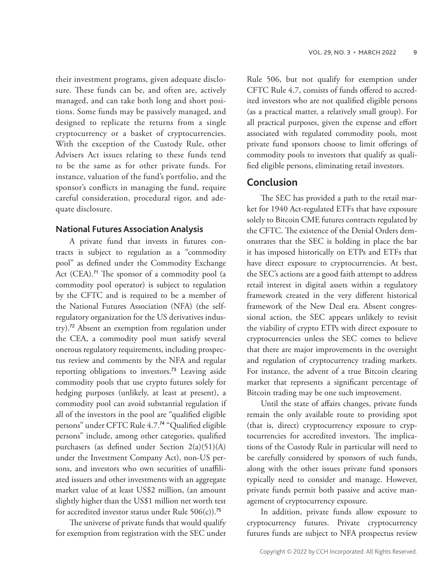their investment programs, given adequate disclosure. These funds can be, and often are, actively managed, and can take both long and short positions. Some funds may be passively managed, and designed to replicate the returns from a single cryptocurrency or a basket of cryptocurrencies. With the exception of the Custody Rule, other Advisers Act issues relating to these funds tend to be the same as for other private funds. For instance, valuation of the fund's portfolio, and the sponsor's conflicts in managing the fund, require careful consideration, procedural rigor, and adequate disclosure.

#### **National Futures Association Analysis**

A private fund that invests in futures contracts is subject to regulation as a "commodity pool" as defined under the Commodity Exchange Act (CEA).<sup>71</sup> The sponsor of a commodity pool (a commodity pool operator) is subject to regulation by the CFTC and is required to be a member of the National Futures Association (NFA) (the selfregulatory organization for the US derivatives industry).<sup>72</sup> Absent an exemption from regulation under the CEA, a commodity pool must satisfy several onerous regulatory requirements, including prospectus review and comments by the NFA and regular reporting obligations to investors.<sup>73</sup> Leaving aside commodity pools that use crypto futures solely for hedging purposes (unlikely, at least at present), a commodity pool can avoid substantial regulation if all of the investors in the pool are "qualified eligible persons" under CFTC Rule 4.7.<sup>74</sup> "Qualified eligible persons" include, among other categories, qualified purchasers (as defined under Section 2(a)(51)(A) under the Investment Company Act), non-US persons, and investors who own securities of unaffiliated issuers and other investments with an aggregate market value of at least US\$2 million, (an amount slightly higher than the US\$1 million net worth test for accredited investor status under Rule  $506(c)$ .<sup>75</sup>

The universe of private funds that would qualify for exemption from registration with the SEC under

Rule 506, but not qualify for exemption under CFTC Rule 4.7, consists of funds offered to accredited investors who are not qualified eligible persons (as a practical matter, a relatively small group). For all practical purposes, given the expense and effort associated with regulated commodity pools, most private fund sponsors choose to limit offerings of commodity pools to investors that qualify as qualified eligible persons, eliminating retail investors.

## **Conclusion**

The SEC has provided a path to the retail market for 1940 Act-regulated ETFs that have exposure solely to Bitcoin CME futures contracts regulated by the CFTC. The existence of the Denial Orders demonstrates that the SEC is holding in place the bar it has imposed historically on ETPs and ETFs that have direct exposure to cryptocurrencies. At best, the SEC's actions are a good faith attempt to address retail interest in digital assets within a regulatory framework created in the very different historical framework of the New Deal era. Absent congressional action, the SEC appears unlikely to revisit the viability of crypto ETPs with direct exposure to cryptocurrencies unless the SEC comes to believe that there are major improvements in the oversight and regulation of cryptocurrency trading markets. For instance, the advent of a true Bitcoin clearing market that represents a significant percentage of Bitcoin trading may be one such improvement.

Until the state of affairs changes, private funds remain the only available route to providing spot (that is, direct) cryptocurrency exposure to cryptocurrencies for accredited investors. The implications of the Custody Rule in particular will need to be carefully considered by sponsors of such funds, along with the other issues private fund sponsors typically need to consider and manage. However, private funds permit both passive and active management of cryptocurrency exposure.

In addition, private funds allow exposure to cryptocurrency futures. Private cryptocurrency futures funds are subject to NFA prospectus review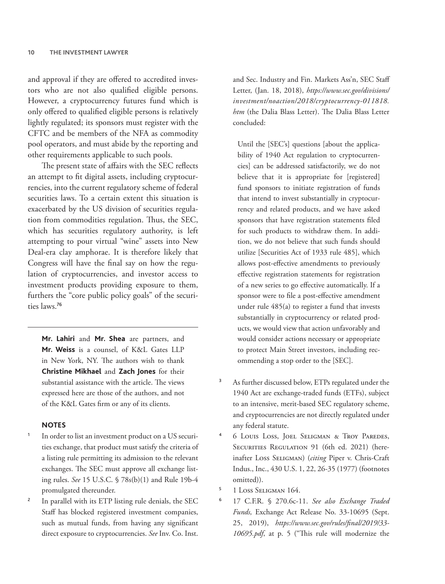and approval if they are offered to accredited investors who are not also qualified eligible persons. However, a cryptocurrency futures fund which is only offered to qualified eligible persons is relatively lightly regulated; its sponsors must register with the CFTC and be members of the NFA as commodity pool operators, and must abide by the reporting and other requirements applicable to such pools.

The present state of affairs with the SEC reflects an attempt to fit digital assets, including cryptocurrencies, into the current regulatory scheme of federal securities laws. To a certain extent this situation is exacerbated by the US division of securities regulation from commodities regulation. Thus, the SEC, which has securities regulatory authority, is left attempting to pour virtual "wine" assets into New Deal-era clay amphorae. It is therefore likely that Congress will have the final say on how the regulation of cryptocurrencies, and investor access to investment products providing exposure to them, furthers the "core public policy goals" of the securities laws.<sup>76</sup>

**Mr. Lahiri** and **Mr. Shea** are partners, and **Mr. Weiss** is a counsel, of K&L Gates LLP in New York, NY. The authors wish to thank **Christine Mikhael** and **Zach Jones** for their substantial assistance with the article. The views expressed here are those of the authors, and not of the K&L Gates firm or any of its clients.

#### **NOTES**

- In order to list an investment product on a US securities exchange, that product must satisfy the criteria of a listing rule permitting its admission to the relevant exchanges. The SEC must approve all exchange listing rules. *See* 15 U.S.C. § 78s(b)(1) and Rule 19b-4 promulgated thereunder.
- In parallel with its ETP listing rule denials, the SEC Staff has blocked registered investment companies, such as mutual funds, from having any significant direct exposure to cryptocurrencies. *See* Inv. Co. Inst.

and Sec. Industry and Fin. Markets Ass'n, SEC Staff Letter, (Jan. 18, 2018), *https://www.sec.gov/divisions/ investment/noaction/2018/cryptocurrency-011818. htm* (the Dalia Blass Letter). The Dalia Blass Letter concluded:

Until the [SEC's] questions [about the applicability of 1940 Act regulation to cryptocurrencies] can be addressed satisfactorily, we do not believe that it is appropriate for [registered] fund sponsors to initiate registration of funds that intend to invest substantially in cryptocurrency and related products, and we have asked sponsors that have registration statements filed for such products to withdraw them. In addition, we do not believe that such funds should utilize [Securities Act of 1933 rule 485], which allows post-effective amendments to previously effective registration statements for registration of a new series to go effective automatically. If a sponsor were to file a post-effective amendment under rule 485(a) to register a fund that invests substantially in cryptocurrency or related products, we would view that action unfavorably and would consider actions necessary or appropriate to protect Main Street investors, including recommending a stop order to the [SEC].

- As further discussed below, ETPs regulated under the 1940 Act are exchange-traded funds (ETFs), subject to an intensive, merit-based SEC regulatory scheme, and cryptocurrencies are not directly regulated under any federal statute.
- <sup>4</sup> 6 Louis Loss, Joel Seligman & Troy Paredes, SECURITIES REGULATION 91 (6th ed. 2021) (hereinafter Loss Seligman) (*citing* Piper v. Chris-Craft Indus., Inc., 430 U.S. 1, 22, 26-35 (1977) (footnotes omitted)).
- <sup>5</sup> 1 Loss Seligman 164.
- <sup>6</sup> 17 C.F.R. § 270.6c-11. *See also Exchange Traded Funds,* Exchange Act Release No. 33-10695 (Sept. 25, 2019), *https://www.sec.gov/rules/final/2019/33- 10695.pdf*, at p. 5 ("This rule will modernize the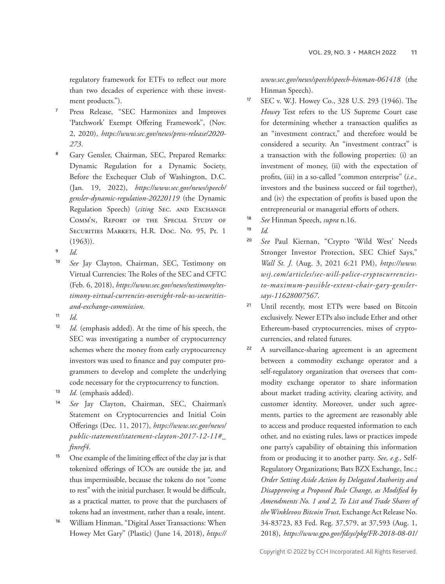regulatory framework for ETFs to reflect our more than two decades of experience with these investment products.").

- <sup>7</sup> Press Release, "SEC Harmonizes and Improves 'Patchwork' Exempt Offering Framework", (Nov. 2, 2020), *https://www.sec.gov/news/press-release/2020- 273*.
- Gary Gensler, Chairman, SEC, Prepared Remarks: Dynamic Regulation for a Dynamic Society, Before the Exchequer Club of Washington, D.C. (Jan. 19, 2022), *https://www.sec.gov/news/speech/ gensler-dynamic-regulation-20220119* (the Dynamic Regulation Speech) (*citing* SEC. AND EXCHANGE Comm'n, Report of the Special Study of Securities Markets, H.R. Doc. No. 95, Pt. 1  $(1963)$ ).
- <sup>9</sup> *Id.*
- <sup>10</sup> *See* Jay Clayton, Chairman, SEC, Testimony on Virtual Currencies: The Roles of the SEC and CFTC (Feb. 6, 2018), *https://www.sec.gov/news/testimony/testimony-virtual-currencies-oversight-role-us-securitiesand-exchange-commission*.
- $11$  *Id.*
- <sup>12</sup> *Id.* (emphasis added). At the time of his speech, the SEC was investigating a number of cryptocurrency schemes where the money from early cryptocurrency investors was used to finance and pay computer programmers to develop and complete the underlying code necessary for the cryptocurrency to function.
- Id. (emphasis added).
- <sup>14</sup> *See* Jay Clayton, Chairman, SEC, Chairman's Statement on Cryptocurrencies and Initial Coin Offerings (Dec. 11, 2017), *https://www.sec.gov/news/ public-statement/statement-clayton-2017-12-11#\_ ftnref4*.
- <sup>15</sup> One example of the limiting effect of the clay jar is that tokenized offerings of ICOs are outside the jar, and thus impermissible, because the tokens do not "come to rest" with the initial purchaser. It would be difficult, as a practical matter, to prove that the purchasers of tokens had an investment, rather than a resale, intent.
- William Hinman, "Digital Asset Transactions: When Howey Met Gary" (Plastic) (June 14, 2018), *https://*

*www.sec.gov/news/speech/speech-hinman-061418* (the Hinman Speech).

- <sup>17</sup> SEC v. W.J. Howey Co., 328 U.S. 293 (1946). The *Howey* Test refers to the US Supreme Court case for determining whether a transaction qualifies as an "investment contract," and therefore would be considered a security. An "investment contract" is a transaction with the following properties: (i) an investment of money, (ii) with the expectation of profits, (iii) in a so-called "common enterprise" (*i.e.,* investors and the business succeed or fail together), and (iv) the expectation of profits is based upon the entrepreneurial or managerial efforts of others.
- <sup>18</sup> *See* Hinman Speech, *supra* n.16.
- <sup>19</sup> *Id.*
- <sup>20</sup> *See* Paul Kiernan, "Crypto 'Wild West' Needs Stronger Investor Protection, SEC Chief Says," *Wall St. J.* (Aug. 3, 2021 6:21 PM), *https://www. wsj.com/articles/sec-will-police-cryptocurrenciesto-maximum-possible-extent-chair-gary-genslersays-11628007567*.
- <sup>21</sup> Until recently, most ETPs were based on Bitcoin exclusively. Newer ETPs also include Ether and other Ethereum-based cryptocurrencies, mixes of cryptocurrencies, and related futures.
- <sup>22</sup> A surveillance-sharing agreement is an agreement between a commodity exchange operator and a self-regulatory organization that oversees that commodity exchange operator to share information about market trading activity, clearing activity, and customer identity. Moreover, under such agreements, parties to the agreement are reasonably able to access and produce requested information to each other, and no existing rules, laws or practices impede one party's capability of obtaining this information from or producing it to another party. *See, e.g.,* Self-Regulatory Organizations; Bats BZX Exchange, Inc.; *Order Setting Aside Action by Delegated Authority and Disapproving a Proposed Rule Change, as Modified by Amendments No. 1 and 2, To List and Trade Shares of the Winklevoss Bitcoin Trust,* Exchange Act Release No. 34-83723, 83 Fed. Reg. 37,579, at 37,593 (Aug. 1, 2018), *https://www.gpo.gov/fdsys/pkg/FR-2018-08-01/*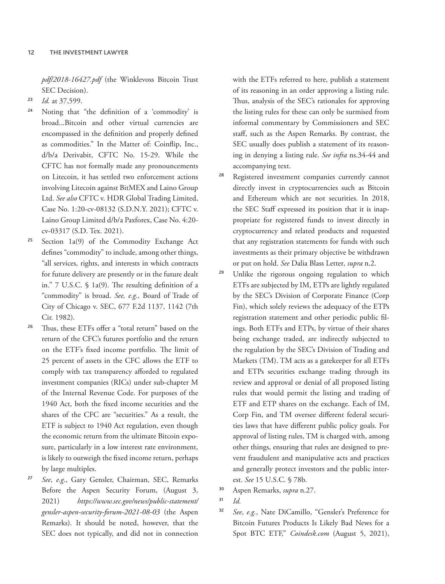*pdf/2018-16427.pdf* (the Winklevoss Bitcoin Trust SEC Decision).

- <sup>23</sup> *Id.* at 37,599.
- <sup>24</sup> Noting that "the definition of a 'commodity' is broad...Bitcoin and other virtual currencies are encompassed in the definition and properly defined as commodities." In the Matter of: Coinflip, Inc., d/b/a Derivabit, CFTC No. 15-29. While the CFTC has not formally made any pronouncements on Litecoin, it has settled two enforcement actions involving Litecoin against BitMEX and Laino Group Ltd. *See also* CFTC v. HDR Global Trading Limited, Case No. 1:20-cv-08132 (S.D.N.Y. 2021); CFTC v. Laino Group Limited d/b/a Paxforex, Case No. 4:20 cv-03317 (S.D. Tex. 2021).
- <sup>25</sup> Section 1a(9) of the Commodity Exchange Act defines "commodity" to include, among other things, "all services, rights, and interests in which contracts for future delivery are presently or in the future dealt in." 7 U.S.C. § 1a(9). The resulting definition of a "commodity" is broad. *See, e.g.,* Board of Trade of City of Chicago v. SEC, 677 F.2d 1137, 1142 (7th Cir. 1982).
- Thus, these ETFs offer a "total return" based on the return of the CFC's futures portfolio and the return on the ETF's fixed income portfolio. The limit of 25 percent of assets in the CFC allows the ETF to comply with tax transparency afforded to regulated investment companies (RICs) under sub-chapter M of the Internal Revenue Code. For purposes of the 1940 Act, both the fixed income securities and the shares of the CFC are "securities." As a result, the ETF is subject to 1940 Act regulation, even though the economic return from the ultimate Bitcoin exposure, particularly in a low interest rate environment, is likely to outweigh the fixed income return, perhaps by large multiples.
- See, e.g., Gary Gensler, Chairman, SEC, Remarks Before the Aspen Security Forum, (August 3, 2021) *https://www.sec.gov/news/public-statement/ gensler-aspen-security-forum-2021-08-03* (the Aspen Remarks). It should be noted, however, that the SEC does not typically, and did not in connection

with the ETFs referred to here, publish a statement of its reasoning in an order approving a listing rule. Thus, analysis of the SEC's rationales for approving the listing rules for these can only be surmised from informal commentary by Commissioners and SEC staff, such as the Aspen Remarks. By contrast, the SEC usually does publish a statement of its reasoning in denying a listing rule. *See infra* ns.34-44 and accompanying text.

- <sup>28</sup> Registered investment companies currently cannot directly invest in cryptocurrencies such as Bitcoin and Ethereum which are not securities. In 2018, the SEC Staff expressed its position that it is inappropriate for registered funds to invest directly in cryptocurrency and related products and requested that any registration statements for funds with such investments as their primary objective be withdrawn or put on hold. *See* Dalia Blass Letter*, supra* n.2.
- <sup>29</sup> Unlike the rigorous ongoing regulation to which ETFs are subjected by IM, ETPs are lightly regulated by the SEC's Division of Corporate Finance (Corp Fin), which solely reviews the adequacy of the ETPs registration statement and other periodic public filings. Both ETFs and ETPs, by virtue of their shares being exchange traded, are indirectly subjected to the regulation by the SEC's Division of Trading and Markets (TM). TM acts as a gatekeeper for all ETFs and ETPs securities exchange trading through its review and approval or denial of all proposed listing rules that would permit the listing and trading of ETF and ETP shares on the exchange. Each of IM, Corp Fin, and TM oversee different federal securities laws that have different public policy goals. For approval of listing rules, TM is charged with, among other things, ensuring that rules are designed to prevent fraudulent and manipulative acts and practices and generally protect investors and the public interest. *See* 15 U.S.C. § 78b.
- <sup>30</sup> Aspen Remarks, *supra* n.27.
- <sup>31</sup> *Id.*
- <sup>32</sup> *See*, *e.g.*, Nate DiCamillo, "Gensler's Preference for Bitcoin Futures Products Is Likely Bad News for a Spot BTC ETF," *Coindesk.com* (August 5, 2021),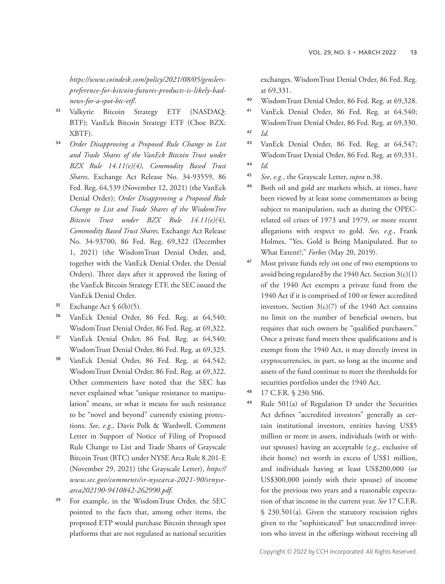#### *https://www.coindesk.com/policy/2021/08/05/genslerspreference-for-bitcoin-futures-products-is-likely-badnews-for-a-spot-btc-etf/*.

- <sup>33</sup> Valkyrie Bitcoin Strategy ETF (NASDAQ: BTF); VanEck Bitcoin Strategy ETF (Cboe BZX: XBTF).
- <sup>34</sup> *Order Disapproving a Proposed Rule Change to List and Trade Shares of the VanEck Bitcoin Trust under BZX Rule 14.11(e)(4), Commodity Based Trust Shares,* Exchange Act Release No. 34-93559, 86 Fed. Reg. 64,539 (November 12, 2021) (the VanEck Denial Order); *Order Disapproving a Proposed Rule Change to List and Trade Shares of the WisdomTree Bitcoin Trust under BZX Rule 14.11(e)(4), Commodity Based Trust Shares,* Exchange Act Release No. 34-93700, 86 Fed. Reg. 69,322 (December 1, 2021) (the WisdomTrust Denial Order, and, together with the VanEck Denial Order, the Denial Orders). Three days after it approved the listing of the VanEck Bitcoin Strategy ETF, the SEC issued the VanEck Denial Order.
- <sup>35</sup> Exchange Act  $\frac{6(b)(5)}{2}$ .
- <sup>36</sup> VanEck Denial Order, 86 Fed. Reg. at 64,540; WisdomTrust Denial Order, 86 Fed. Reg. at 69,322.
- <sup>37</sup> VanEck Denial Order, 86 Fed. Reg. at 64,540; WisdomTrust Denial Order, 86 Fed. Reg. at 69,323.
- <sup>38</sup> VanEck Denial Order, 86 Fed. Reg. at 64,542; WisdomTrust Denial Order, 86 Fed. Reg. at 69,322. Other commenters have noted that the SEC has never explained what "unique resistance to manipulation" means, or what it means for such resistance to be "novel and beyond" currently existing protections. *See*, *e.g.*, Davis Polk & Wardwell, Comment Letter in Support of Notice of Filing of Proposed Rule Change to List and Trade Shares of Grayscale Bitcoin Trust (BTC) under NYSE Arca Rule 8.201-E (November 29, 2021) (the Grayscale Letter), *https:// www.sec.gov/comments/sr-nysearca-2021-90/srnysearca202190-9410842-262990.pdf*.
- <sup>39</sup> For example, in the WisdomTrust Order, the SEC pointed to the facts that, among other items, the proposed ETP would purchase Bitcoin through spot platforms that are not regulated as national securities

exchanges. WisdomTrust Denial Order, 86 Fed. Reg. at 69,331.

- <sup>40</sup> WisdomTrust Denial Order, 86 Fed. Reg. at 69,328.
- <sup>41</sup> VanEck Denial Order, 86 Fed. Reg. at 64,540; WisdomTrust Denial Order, 86 Fed. Reg. at 69,330. <sup>42</sup> *Id.*
- <sup>43</sup> VanEck Denial Order, 86 Fed. Reg. at 64,547; WisdomTrust Denial Order, 86 Fed. Reg. at 69,331.

- <sup>45</sup> *See*, *e.g.*, the Grayscale Letter, *supra* n.38.
- <sup>46</sup> Both oil and gold are markets which, at times, have been viewed by at least some commentators as being subject to manipulation, such as during the OPECrelated oil crises of 1973 and 1979, or more recent allegations with respect to gold. *See*, *e.g.*, Frank Holmes, "Yes, Gold is Being Manipulated. But to What Extent?," *Forbes* (May 20, 2019).
- <sup>47</sup> Most private funds rely on one of two exemptions to avoid being regulated by the 1940 Act. Section  $3(c)(1)$ of the 1940 Act exempts a private fund from the 1940 Act if it is comprised of 100 or fewer accredited investors. Section  $3(c)(7)$  of the 1940 Act contains no limit on the number of beneficial owners, but requires that such owners be "qualified purchasers." Once a private fund meets these qualifications and is exempt from the 1940 Act, it may directly invest in cryptocurrencies, in part, so long as the income and assets of the fund continue to meet the thresholds for securities portfolios under the 1940 Act.
- <sup>48</sup> 17 C.F.R. § 230.506.
- <sup>49</sup> Rule 501(a) of Regulation D under the Securities Act defines "accredited investors" generally as certain institutional investors, entities having US\$5 million or more in assets, individuals (with or without spouses) having an acceptable (*e.g*., exclusive of their home) net worth in excess of US\$1 million, and individuals having at least US\$200,000 (or US\$300,000 jointly with their spouse) of income for the previous two years and a reasonable expectation of that income in the current year. *See* 17 C.F.R. § 230.501(a). Given the statutory rescission rights given to the "sophisticated" but unaccredited investors who invest in the offerings without receiving all

<sup>44</sup> *Id.*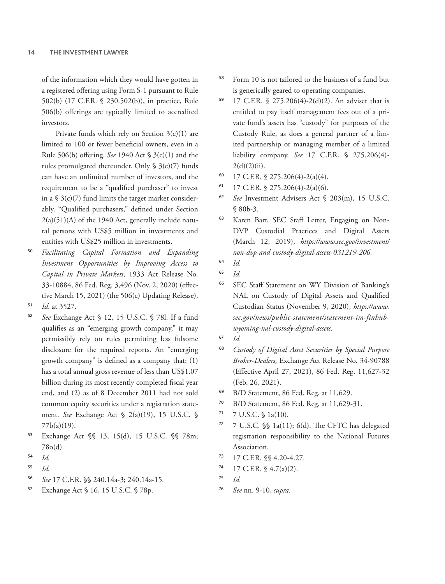of the information which they would have gotten in a registered offering using Form S-1 pursuant to Rule 502(b) (17 C.F.R. § 230.502(b)), in practice, Rule 506(b) offerings are typically limited to accredited investors.

Private funds which rely on Section  $3(c)(1)$  are limited to 100 or fewer beneficial owners, even in a Rule 506(b) offering. *See* 1940 Act § 3(c)(1) and the rules promulgated thereunder. Only  $\S$  3(c)(7) funds can have an unlimited number of investors, and the requirement to be a "qualified purchaser" to invest in a  $\frac{1}{2}$  3(c)(7) fund limits the target market considerably. "Qualified purchasers," defined under Section 2(a)(51)(A) of the 1940 Act, generally include natural persons with US\$5 million in investments and entities with US\$25 million in investments.

- <sup>50</sup> *Facilitating Capital Formation and Expanding Investment Opportunities by Improving Access to Capital in Private Markets*, 1933 Act Release No. 33-10884, 86 Fed. Reg. 3,496 (Nov. 2, 2020) (effective March 15, 2021) (the 506(c) Updating Release).
- <sup>51</sup> *Id*. at 3527.
- <sup>52</sup> *See* Exchange Act § 12, 15 U.S.C. § 78l. If a fund qualifies as an "emerging growth company," it may permissibly rely on rules permitting less fulsome disclosure for the required reports. An "emerging growth company" is defined as a company that: (1) has a total annual gross revenue of less than US\$1.07 billion during its most recently completed fiscal year end, and (2) as of 8 December 2011 had not sold common equity securities under a registration statement. *See* Exchange Act § 2(a)(19), 15 U.S.C. § 77b(a)(19).
- <sup>53</sup> Exchange Act §§ 13, 15(d), 15 U.S.C. §§ 78m; 78o(d).
- <sup>54</sup> *Id.*
- <sup>55</sup> *Id.*
- <sup>56</sup> *See* 17 C.F.R. §§ 240.14a-3; 240.14a-15*.*
- <sup>57</sup> Exchange Act § 16, 15 U.S.C. § 78p.
- <sup>58</sup> Form 10 is not tailored to the business of a fund but is generically geared to operating companies.
- <sup>59</sup> 17 C.F.R. § 275.206(4)-2(d)(2). An adviser that is entitled to pay itself management fees out of a private fund's assets has "custody" for purposes of the Custody Rule, as does a general partner of a limited partnership or managing member of a limited liability company. *See* 17 C.F.R. § 275.206(4)-  $2(d)(2)(ii)$ .
- 60 17 C.F.R.  $\frac{$275.206(4)-2(a)(4)}{4}$ .
- 61 17 C.F.R.  $\frac{5}{275.206(4)-2(a)(6)}$ .
- <sup>62</sup> *See* Investment Advisers Act § 203(m), 15 U.S.C. § 80b-3.
- <sup>63</sup> Karen Barr, SEC Staff Letter, Engaging on Non-DVP Custodial Practices and Digital Assets (March 12, 2019), *https://www.sec.gov/investment/ non-dvp-and-custody-digital-assets-031219-206.*
- <sup>64</sup> *Id.*
- <sup>65</sup> *Id.*
- <sup>66</sup> SEC Staff Statement on WY Division of Banking's NAL on Custody of Digital Assets and Qualified Custodian Status (November 9, 2020), *https://www. sec.gov/news/public-statement/statement-im-finhubwyoming-nal-custody-digital-assets*.
- <sup>67</sup> *Id.*
- <sup>68</sup> *Custody of Digital Asset Securities by Special Purpose Broker-Dealers,* Exchange Act Release No. 34-90788 (Effective April 27, 2021), 86 Fed. Reg. 11,627-32 (Feb. 26, 2021).
- <sup>69</sup> B/D Statement, 86 Fed. Reg. at 11,629.
- <sup>70</sup> B/D Statement, 86 Fed. Reg. at 11,629-31.
- $71$  7 U.S.C. § 1a(10).
- <sup>72</sup> 7 U.S.C. §§ 1a(11); 6(d). The CFTC has delegated registration responsibility to the National Futures Association.
- <sup>73</sup> 17 C.F.R. §§ 4.20-4.27.
- $74$  17 C.F.R. § 4.7(a)(2).
- <sup>75</sup> *Id.*
- <sup>76</sup> *See* nn. 9-10, *supra.*